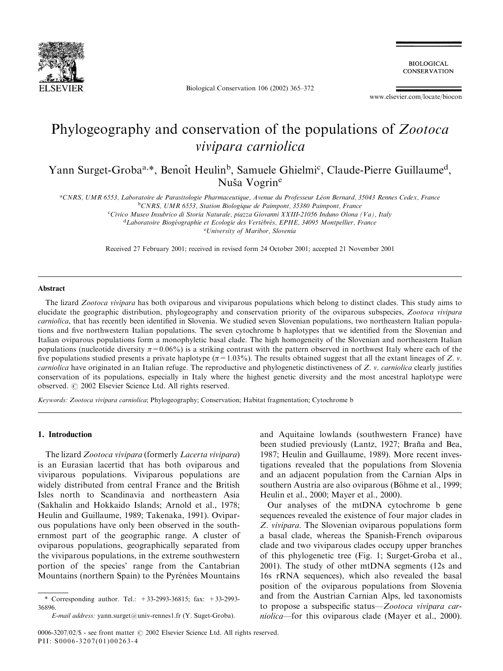

Biological Conservation 106 (2002) 365–372

**BIOLOGICAL CONSERVATION** 

www.elsevier.com/locate/biocon

# Phylogeography and conservation of the populations of Zootoca vivipara carniolica

Yann Surget-Groba<sup>a,\*</sup>, Benoît Heulin<sup>b</sup>, Samuele Ghielmi<sup>c</sup>, Claude-Pierre Guillaume<sup>d</sup>, Nuša Vogrine

<sup>a</sup>CNRS, UMR 6553, Laboratoire de Parasitologie Pharmaceutique, Avenue du Professeur Léon Bernard, 35043 Rennes Cedex, France <sup>b</sup>CNRS, UMR 6553, Station Biologique de Paimpont, 35380 Paimpont, France

c Civico Museo Insubrico di Storia Naturale, piazza Giovanni XXIII-21056 Induno Olona (Va), Italy <sup>d</sup>Laboratoire Biogéographie et Ecologie des Vertébrés, EPHE, 34095 Montpellier, France

e University of Maribor, Slovenia

Received 27 February 2001; received in revised form 24 October 2001; accepted 21 November 2001

#### Abstract

The lizard Zootoca vivipara has both oviparous and viviparous populations which belong to distinct clades. This study aims to elucidate the geographic distribution, phylogeography and conservation priority of the oviparous subspecies, Zootoca vivipara carniolica, that has recently been identified in Slovenia. We studied seven Slovenian populations, two northeastern Italian populations and five northwestern Italian populations. The seven cytochrome b haplotypes that we identified from the Slovenian and Italian oviparous populations form a monophyletic basal clade. The high homogeneity of the Slovenian and northeastern Italian populations (nucleotide diversity  $\pi = 0.06\%$ ) is a striking contrast with the pattern observed in northwest Italy where each of the five populations studied presents a private haplotype ( $\pi$ =1.03%). The results obtained suggest that all the extant lineages of Z. v. carniolica have originated in an Italian refuge. The reproductive and phylogenetic distinctiveness of Z. v. carniolica clearly justifies conservation of its populations, especially in Italy where the highest genetic diversity and the most ancestral haplotype were observed.  $\odot$  2002 Elsevier Science Ltd. All rights reserved.

Keywords: Zootoca vivipara carniolica; Phylogeography; Conservation; Habitat fragmentation; Cytochrome b

# 1. Introduction

The lizard Zootoca vivipara (formerly Lacerta vivipara) is an Eurasian lacertid that has both oviparous and viviparous populations. Viviparous populations are widely distributed from central France and the British Isles north to Scandinavia and northeastern Asia (Sakhalin and Hokkaido Islands; Arnold et al., 1978; Heulin and Guillaume, 1989; Takenaka, 1991). Oviparous populations have only been observed in the southernmost part of the geographic range. A cluster of oviparous populations, geographically separated from the viviparous populations, in the extreme southwestern portion of the species' range from the Cantabrian Mountains (northern Spain) to the Pyrénées Mountains and Aquitaine lowlands (southwestern France) have been studied previously (Lantz, 1927; Braña and Bea, 1987; Heulin and Guillaume, 1989). More recent investigations revealed that the populations from Slovenia and an adjacent population from the Carnian Alps in southern Austria are also oviparous (Böhme et al., 1999; Heulin et al., 2000; Mayer et al., 2000).

Our analyses of the mtDNA cytochrome b gene sequences revealed the existence of four major clades in Z. vivipara. The Slovenian oviparous populations form a basal clade, whereas the Spanish-French oviparous clade and two viviparous clades occupy upper branches of this phylogenetic tree (Fig. 1; Surget-Groba et al., 2001). The study of other mtDNA segments (12s and 16s rRNA sequences), which also revealed the basal position of the oviparous populations from Slovenia and from the Austrian Carnian Alps, led taxonomists to propose a subspecific status—Zootoca vivipara carniolica—for this oviparous clade (Mayer et al., 2000).

<sup>\*</sup> Corresponding author. Tel.: +33-2993-36815; fax: +33-2993- 36896.

E-mail address: yann.surget@univ-rennes1.fr (Y. Suget-Groba).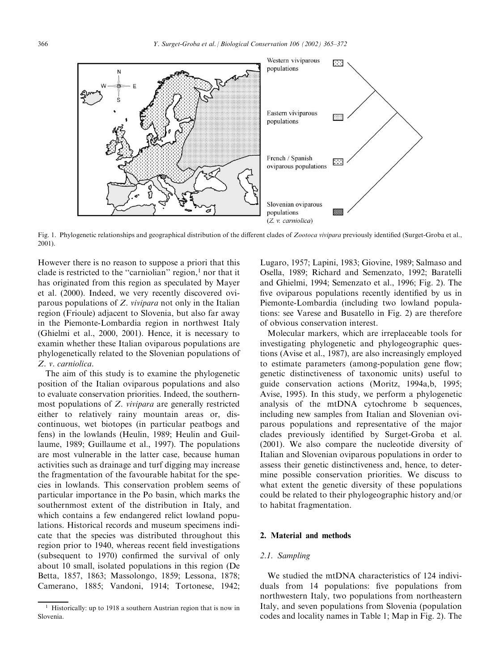

Fig. 1. Phylogenetic relationships and geographical distribution of the different clades of Zootoca vivipara previously identified (Surget-Groba et al., 2001).

However there is no reason to suppose a priori that this clade is restricted to the "carniolian" region, $<sup>1</sup>$  nor that it</sup> has originated from this region as speculated by Mayer et al. (2000). Indeed, we very recently discovered oviparous populations of Z. vivipara not only in the Italian region (Frioule) adjacent to Slovenia, but also far away in the Piemonte-Lombardia region in northwest Italy (Ghielmi et al., 2000, 2001). Hence, it is necessary to examin whether these Italian oviparous populations are phylogenetically related to the Slovenian populations of Z. v. carniolica.

The aim of this study is to examine the phylogenetic position of the Italian oviparous populations and also to evaluate conservation priorities. Indeed, the southernmost populations of Z. vivipara are generally restricted either to relatively rainy mountain areas or, discontinuous, wet biotopes (in particular peatbogs and fens) in the lowlands (Heulin, 1989; Heulin and Guillaume, 1989; Guillaume et al., 1997). The populations are most vulnerable in the latter case, because human activities such as drainage and turf digging may increase the fragmentation of the favourable habitat for the species in lowlands. This conservation problem seems of particular importance in the Po basin, which marks the southernmost extent of the distribution in Italy, and which contains a few endangered relict lowland populations. Historical records and museum specimens indicate that the species was distributed throughout this region prior to 1940, whereas recent field investigations (subsequent to 1970) confirmed the survival of only about 10 small, isolated populations in this region (De Betta, 1857, 1863; Massolongo, 1859; Lessona, 1878; Camerano, 1885; Vandoni, 1914; Tortonese, 1942;

Lugaro, 1957; Lapini, 1983; Giovine, 1989; Salmaso and Osella, 1989; Richard and Semenzato, 1992; Baratelli and Ghielmi, 1994; Semenzato et al., 1996; Fig. 2). The five oviparous populations recently identified by us in Piemonte-Lombardia (including two lowland populations: see Varese and Busatello in Fig. 2) are therefore of obvious conservation interest.

Molecular markers, which are irreplaceable tools for investigating phylogenetic and phylogeographic questions (Avise et al., 1987), are also increasingly employed to estimate parameters (among-population gene flow; genetic distinctiveness of taxonomic units) useful to guide conservation actions (Moritz, 1994a,b, 1995; Avise, 1995). In this study, we perform a phylogenetic analysis of the mtDNA cytochrome b sequences, including new samples from Italian and Slovenian oviparous populations and representative of the major clades previously identified by Surget-Groba et al. (2001). We also compare the nucleotide diversity of Italian and Slovenian oviparous populations in order to assess their genetic distinctiveness and, hence, to determine possible conservation priorities. We discuss to what extent the genetic diversity of these populations could be related to their phylogeographic history and/or to habitat fragmentation.

# 2. Material and methods

# 2.1. Sampling

We studied the mtDNA characteristics of 124 individuals from 14 populations: five populations from northwestern Italy, two populations from northeastern Italy, and seven populations from Slovenia (population codes and locality names in Table 1; Map in Fig. 2). The

<sup>&</sup>lt;sup>1</sup> Historically: up to 1918 a southern Austrian region that is now in Slovenia.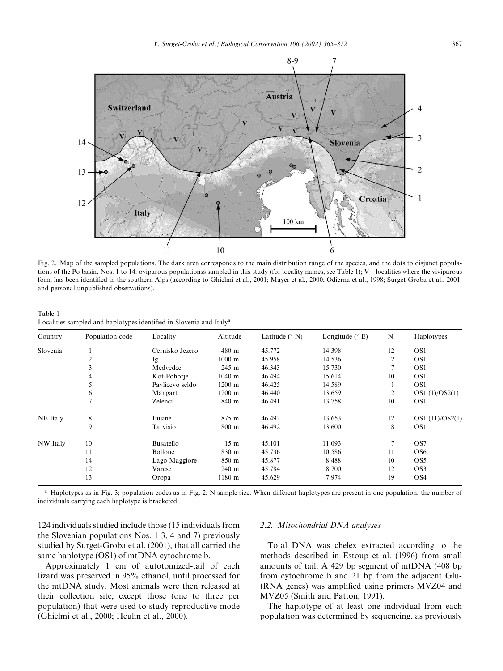

Fig. 2. Map of the sampled populations. The dark area corresponds to the main distribution range of the species, and the dots to disjunct populations of the Po basin. Nos. 1 to 14: oviparous populationss sampled in this study (for locality names, see Table 1); V = localities where the viviparous form has been identified in the southern Alps (according to Ghielmi et al., 2001; Mayer et al., 2000; Odierna et al., 1998; Surget-Groba et al., 2001; and personal unpublished observations).

Table 1 Localities sampled and haplotypes identified in Slovenia and Italya

| Country         | Population code | Locality        | Altitude          | Latitude $(^{\circ}$ N) | Longitude $(° E)$ | N              | Haplotypes      |
|-----------------|-----------------|-----------------|-------------------|-------------------------|-------------------|----------------|-----------------|
| Slovenia        |                 | Cernisko Jezero | 480 m             | 45.772                  | 14.398            | 12             | OS <sub>1</sub> |
|                 | 2               | Ig              | $1000 \text{ m}$  | 45.958                  | 14.536            | $\overline{2}$ | OS <sub>1</sub> |
|                 | 3               | Medvedce        | 245 m             | 46.343                  | 15.730            | 7              | OS <sub>1</sub> |
|                 | 4               | Kot-Pohorje     | $1040$ m          | 46.494                  | 15.614            | 10             | OS <sub>1</sub> |
|                 | 5               | Pavlicevo seldo | $1200 \text{ m}$  | 46.425                  | 14.589            |                | OS <sub>1</sub> |
|                 | 6               | Mangart         | $1200 \text{ m}$  | 46.440                  | 13.659            | 2              | OS1 (1)/OS2(1)  |
|                 |                 | Zelenci         | 840 m             | 46.491                  | 13.758            | 10             | OS <sub>1</sub> |
| <b>NE</b> Italy | 8               | Fusine          | 875 m             | 46.492                  | 13.653            | 12             | OS1 (11)/OS2(1) |
|                 | 9               | Tarvisio        | $800 \text{ m}$   | 46.492                  | 13.600            | 8              | OS <sub>1</sub> |
| <b>NW</b> Italy | 10              | Busatello       | 15 <sub>m</sub>   | 45.101                  | 11.093            | 7              | OS7             |
|                 | 11              | Bollone         | 830 m             | 45.736                  | 10.586            | 11             | OS <sub>6</sub> |
|                 | 14              | Lago Maggiore   | 850 m             | 45.877                  | 8.488             | 10             | OS <sub>5</sub> |
|                 | 12              | Varese          | $240 \text{ m}$   | 45.784                  | 8.700             | 12             | OS <sub>3</sub> |
|                 | 13              | Oropa           | 1180 <sub>m</sub> | 45.629                  | 7.974             | 19             | OS <sub>4</sub> |

<sup>a</sup> Haplotypes as in Fig. 3; population codes as in Fig. 2; N sample size. When different haplotypes are present in one population, the number of individuals carrying each haplotype is bracketed.

124 individuals studied include those (15 individuals from the Slovenian populations Nos. 1 3, 4 and 7) previously studied by Surget-Groba et al. (2001), that all carried the same haplotype (OS1) of mtDNA cytochrome b.

Approximately 1 cm of autotomized-tail of each lizard was preserved in 95% ethanol, until processed for the mtDNA study. Most animals were then released at their collection site, except those (one to three per population) that were used to study reproductive mode (Ghielmi et al., 2000; Heulin et al., 2000).

#### 2.2. Mitochondrial DNA analyses

Total DNA was chelex extracted according to the methods described in Estoup et al. (1996) from small amounts of tail. A 429 bp segment of mtDNA (408 bp from cytochrome b and 21 bp from the adjacent GlutRNA genes) was amplified using primers MVZ04 and MVZ05 (Smith and Patton, 1991).

The haplotype of at least one individual from each population was determined by sequencing, as previously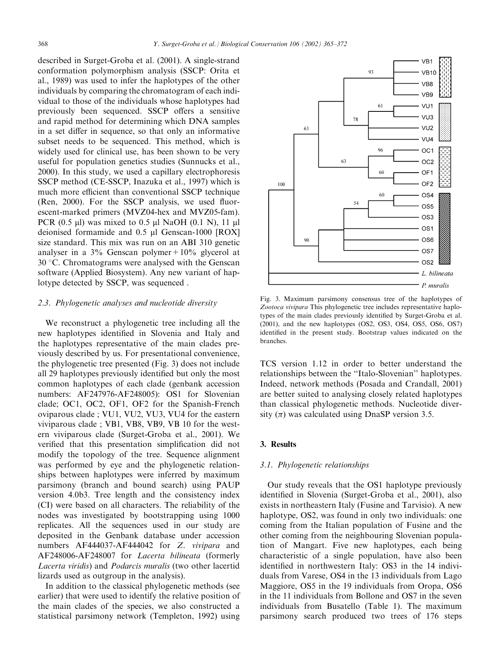described in Surget-Groba et al. (2001). A single-strand conformation polymorphism analysis (SSCP: Orita et al., 1989) was used to infer the haplotypes of the other individuals by comparing the chromatogram of each individual to those of the individuals whose haplotypes had previously been sequenced. SSCP offers a sensitive and rapid method for determining which DNA samples in a set differ in sequence, so that only an informative subset needs to be sequenced. This method, which is widely used for clinical use, has been shown to be very useful for population genetics studies (Sunnucks et al., 2000). In this study, we used a capillary electrophoresis SSCP method (CE-SSCP, Inazuka et al., 1997) which is much more efficient than conventional SSCP technique (Ren, 2000). For the SSCP analysis, we used fluorescent-marked primers (MVZ04-hex and MVZ05-fam). PCR (0.5  $\mu$ l) was mixed to 0.5  $\mu$ l NaOH (0.1 N), 11  $\mu$ l deionised formamide and 0.5 µl Genscan-1000 [ROX] size standard. This mix was run on an ABI 310 genetic analyser in a  $3\%$  Genscan polymer +  $10\%$  glycerol at  $30^{\circ}$ C. Chromatograms were analysed with the Genscan software (Applied Biosystem). Any new variant of haplotype detected by SSCP, was sequenced .

# 2.3. Phylogenetic analyses and nucleotide diversity

We reconstruct a phylogenetic tree including all the new haplotypes identified in Slovenia and Italy and the haplotypes representative of the main clades previously described by us. For presentational convenience, the phylogenetic tree presented (Fig. 3) does not include all 29 haplotypes previously identified but only the most common haplotypes of each clade (genbank accession numbers: AF247976-AF248005): OS1 for Slovenian clade; OC1, OC2, OF1, OF2 for the Spanish-French oviparous clade ; VU1, VU2, VU3, VU4 for the eastern viviparous clade ; VB1, VB8, VB9, VB 10 for the western viviparous clade (Surget-Groba et al., 2001). We verified that this presentation simplification did not modify the topology of the tree. Sequence alignment was performed by eye and the phylogenetic relationships between haplotypes were inferred by maximum parsimony (branch and bound search) using PAUP version 4.0b3. Tree length and the consistency index (CI) were based on all characters. The reliability of the nodes was investigated by bootstrapping using 1000 replicates. All the sequences used in our study are deposited in the Genbank database under accession numbers AF444037-AF444042 for Z. vivipara and AF248006-AF248007 for Lacerta bilineata (formerly Lacerta viridis) and Podarcis muralis (two other lacertid lizards used as outgroup in the analysis).

In addition to the classical phylogenetic methods (see earlier) that were used to identify the relative position of the main clades of the species, we also constructed a statistical parsimony network (Templeton, 1992) using



Fig. 3. Maximum parsimony consensus tree of the haplotypes of Zootoca vivipara This phylogenetic tree includes representative haplotypes of the main clades previously identified by Surget-Groba et al. (2001), and the new haplotypes (OS2, OS3, OS4, OS5, OS6, OS7) identified in the present study. Bootstrap values indicated on the branches.

TCS version 1.12 in order to better understand the relationships between the ''Italo-Slovenian'' haplotypes. Indeed, network methods (Posada and Crandall, 2001) are better suited to analysing closely related haplotypes than classical phylogenetic methods. Nucleotide diversity  $(\pi)$  was calculated using DnaSP version 3.5.

#### 3. Results

# 3.1. Phylogenetic relationships

Our study reveals that the OS1 haplotype previously identified in Slovenia (Surget-Groba et al., 2001), also exists in northeastern Italy (Fusine and Tarvisio). A new haplotype, OS2, was found in only two individuals: one coming from the Italian population of Fusine and the other coming from the neighbouring Slovenian population of Mangart. Five new haplotypes, each being characteristic of a single population, have also been identified in northwestern Italy: OS3 in the 14 individuals from Varese, OS4 in the 13 individuals from Lago Maggiore, OS5 in the 19 individuals from Oropa, OS6 in the 11 individuals from Bollone and OS7 in the seven individuals from Busatello (Table 1). The maximum parsimony search produced two trees of 176 steps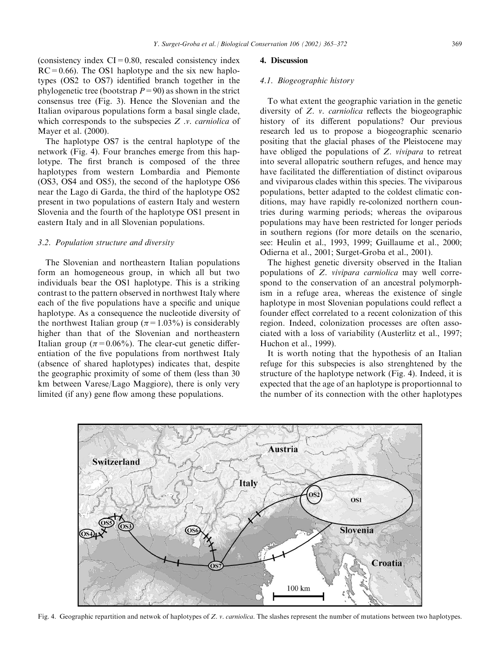(consistency index  $CI = 0.80$ , rescaled consistency index  $RC = 0.66$ ). The OS1 haplotype and the six new haplotypes (OS2 to OS7) identified branch together in the phylogenetic tree (bootstrap  $P=90$ ) as shown in the strict consensus tree (Fig. 3). Hence the Slovenian and the Italian oviparous populations form a basal single clade, which corresponds to the subspecies  $Z$  *v. carniolica* of Mayer et al. (2000).

The haplotype OS7 is the central haplotype of the network (Fig. 4). Four branches emerge from this haplotype. The first branch is composed of the three haplotypes from western Lombardia and Piemonte (OS3, OS4 and OS5), the second of the haplotype OS6 near the Lago di Garda, the third of the haplotype OS2 present in two populations of eastern Italy and western Slovenia and the fourth of the haplotype OS1 present in eastern Italy and in all Slovenian populations.

## 3.2. Population structure and diversity

The Slovenian and northeastern Italian populations form an homogeneous group, in which all but two individuals bear the OS1 haplotype. This is a striking contrast to the pattern observed in northwest Italy where each of the five populations have a specific and unique haplotype. As a consequence the nucleotide diversity of the northwest Italian group ( $\pi$ =1.03%) is considerably higher than that of the Slovenian and northeastern Italian group ( $\pi$ =0.06%). The clear-cut genetic differentiation of the five populations from northwest Italy (absence of shared haplotypes) indicates that, despite the geographic proximity of some of them (less than 30 km between Varese/Lago Maggiore), there is only very limited (if any) gene flow among these populations.

## 4. Discussion

## 4.1. Biogeographic history

To what extent the geographic variation in the genetic diversity of Z. v. carniolica reflects the biogeographic history of its different populations? Our previous research led us to propose a biogeographic scenario positing that the glacial phases of the Pleistocene may have obliged the populations of Z. vivipara to retreat into several allopatric southern refuges, and hence may have facilitated the differentiation of distinct oviparous and viviparous clades within this species. The viviparous populations, better adapted to the coldest climatic conditions, may have rapidly re-colonized northern countries during warming periods; whereas the oviparous populations may have been restricted for longer periods in southern regions (for more details on the scenario, see: Heulin et al., 1993, 1999; Guillaume et al., 2000; Odierna et al., 2001; Surget-Groba et al., 2001).

The highest genetic diversity observed in the Italian populations of Z. vivipara carniolica may well correspond to the conservation of an ancestral polymorphism in a refuge area, whereas the existence of single haplotype in most Slovenian populations could reflect a founder effect correlated to a recent colonization of this region. Indeed, colonization processes are often associated with a loss of variability (Austerlitz et al., 1997; Huchon et al., 1999).

It is worth noting that the hypothesis of an Italian refuge for this subspecies is also strenghtened by the structure of the haplotype network (Fig. 4). Indeed, it is expected that the age of an haplotype is proportionnal to the number of its connection with the other haplotypes



Fig. 4. Geographic repartition and netwok of haplotypes of Z. v. carniolica. The slashes represent the number of mutations between two haplotypes.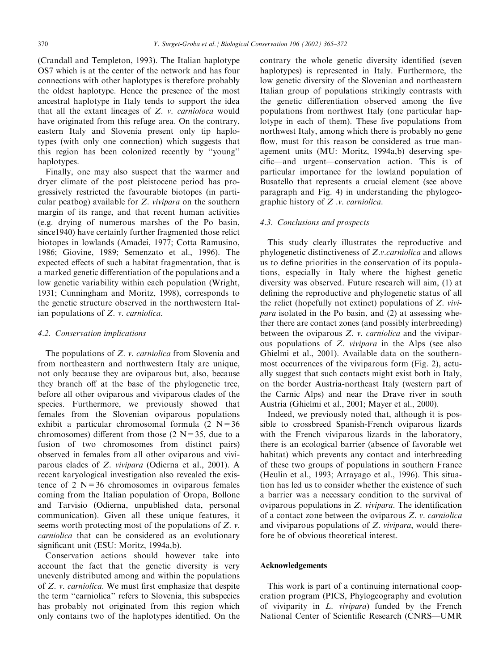(Crandall and Templeton, 1993). The Italian haplotype OS7 which is at the center of the network and has four connections with other haplotypes is therefore probably the oldest haplotype. Hence the presence of the most ancestral haplotype in Italy tends to support the idea that all the extant lineages of Z. v. carnioloca would have originated from this refuge area. On the contrary, eastern Italy and Slovenia present only tip haplotypes (with only one connection) which suggests that this region has been colonized recently by ''young'' haplotypes.

Finally, one may also suspect that the warmer and dryer climate of the post pleistocene period has progressively restricted the favourable biotopes (in particular peatbog) available for Z. vivipara on the southern margin of its range, and that recent human activities (e.g. drying of numerous marshes of the Po basin, since1940) have certainly further fragmented those relict biotopes in lowlands (Amadei, 1977; Cotta Ramusino, 1986; Giovine, 1989; Semenzato et al., 1996). The expected effects of such a habitat fragmentation, that is a marked genetic differentiation of the populations and a low genetic variability within each population (Wright, 1931; Cunningham and Moritz, 1998), corresponds to the genetic structure observed in the northwestern Italian populations of Z. v. carniolica.

#### 4.2. Conservation implications

The populations of Z. *v. carniolica* from Slovenia and from northeastern and northwestern Italy are unique, not only because they are oviparous but, also, because they branch off at the base of the phylogenetic tree, before all other oviparous and viviparous clades of the species. Furthermore, we previously showed that females from the Slovenian oviparous populations exhibit a particular chromosomal formula  $(2 N=36$ chromosomes) different from those  $(2 N=35,$  due to a fusion of two chromosomes from distinct pairs) observed in females from all other oviparous and viviparous clades of Z. vivipara (Odierna et al., 2001). A recent karyological investigation also revealed the existence of 2  $N=36$  chromosomes in oviparous females coming from the Italian population of Oropa, Bollone and Tarvisio (Odierna, unpublished data, personal communication). Given all these unique features, it seems worth protecting most of the populations of Z. v. carniolica that can be considered as an evolutionary significant unit (ESU: Moritz, 1994a,b).

Conservation actions should however take into account the fact that the genetic diversity is very unevenly distributed among and within the populations of Z. v. carniolica. We must first emphasize that despite the term ''carniolica'' refers to Slovenia, this subspecies has probably not originated from this region which only contains two of the haplotypes identified. On the contrary the whole genetic diversity identified (seven haplotypes) is represented in Italy. Furthermore, the low genetic diversity of the Slovenian and northeastern Italian group of populations strikingly contrasts with the genetic differentiation observed among the five populations from northwest Italy (one particular haplotype in each of them). These five populations from northwest Italy, among which there is probably no gene flow, must for this reason be considered as true management units (MU: Moritz, 1994a,b) deserving specific—and urgent—conservation action. This is of particular importance for the lowland population of Busatello that represents a crucial element (see above paragraph and Fig. 4) in understanding the phylogeographic history of Z .v. carniolica.

# 4.3. Conclusions and prospects

This study clearly illustrates the reproductive and phylogenetic distinctiveness of Z.v.carniolica and allows us to define priorities in the conservation of its populations, especially in Italy where the highest genetic diversity was observed. Future research will aim, (1) at defining the reproductive and phylogenetic status of all the relict (hopefully not extinct) populations of Z. vivipara isolated in the Po basin, and (2) at assessing whether there are contact zones (and possibly interbreeding) between the oviparous Z. v. carniolica and the viviparous populations of Z. vivipara in the Alps (see also Ghielmi et al., 2001). Available data on the southernmost occurrences of the viviparous form (Fig. 2), actually suggest that such contacts might exist both in Italy, on the border Austria-northeast Italy (western part of the Carnic Alps) and near the Drave river in south Austria (Ghielmi et al., 2001; Mayer et al., 2000).

Indeed, we previously noted that, although it is possible to crossbreed Spanish-French oviparous lizards with the French viviparous lizards in the laboratory, there is an ecological barrier (absence of favorable wet habitat) which prevents any contact and interbreeding of these two groups of populations in southern France (Heulin et al., 1993; Arrayago et al., 1996). This situation has led us to consider whether the existence of such a barrier was a necessary condition to the survival of oviparous populations in Z. vivipara. The identification of a contact zone between the oviparous Z. v. carniolica and viviparous populations of Z. vivipara, would therefore be of obvious theoretical interest.

# Acknowledgements

This work is part of a continuing international cooperation program (PICS, Phylogeography and evolution of viviparity in L. vivipara) funded by the French National Center of Scientific Research (CNRS—UMR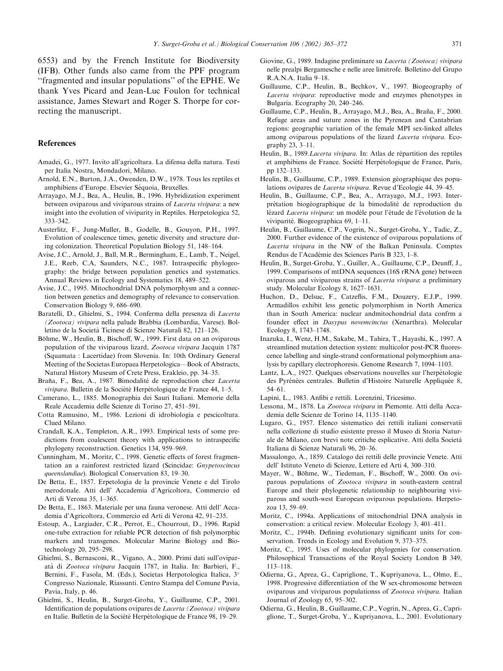6553) and by the French Institute for Biodiversity (IFB). Other funds also came from the PPF program ''fragmented and insular populations'' of the EPHE. We thank Yves Picard and Jean-Luc Foulon for technical assistance, James Stewart and Roger S. Thorpe for correcting the manuscript.

# References

- Amadei, G., 1977. Invito all'agricoltura. La difensa della natura. Testi per Italia Nostra, Mondadori, Milano.
- Arnold, E.N., Burton, J.A., Owenden, D.W., 1978. Tous les reptiles et amphibiens d'Europe. Elsevier Séquoia, Bruxelles.
- Arrayago, M.J., Bea, A., Heulin, B., 1996. Hybridization experiment between oviparous and viviparous strains of Lacerta vivipara: a new insight into the evolution of viviparity in Reptiles. Herpetologica 52, 333–342.
- Austerlitz, F., Jung-Muller, B., Godelle, B., Gouyon, P.H., 1997. Evolution of coalescence times, genetic diversity and structure during colonization. Theoretical Population Biology 51, 148–164.
- Avise, J.C., Arnold, J., Ball, M.R., Bermingham, E., Lamb, T., Neigel, J.E., Reeb, C.A, Saunders, N.C., 1987. Intraspecific phylogeography: the bridge between population genetics and systematics. Annual Reviews in Ecology and Systematics 18, 489–522.
- Avise, J.C., 1995. Mitochondrial DNA polymorphysm and a connection between genetics and demography of relevance to conservation. Conservation Biology 9, 686–690.
- Baratelli, D., Ghielmi, S., 1994. Conferma della presenza di Lacerta (Zootoca) vivipara nella palude Brabbia (Lombardia, Varese). Bolletino de la Societa` Ticinese di Scienze Naturali 82, 121–126.
- Böhme, W., Heulin, B., Bischoff, W., 1999. First data on an oviparous population of the viviparous lizard, Zootoca vivipara Jacquin 1787 (Squamata : Lacertidae) from Slovenia. In: 10th Ordinary General Meeting of the Societas Europaea Herpetologica—Book of Abstracts, Natural History Museum of Crete Press, Erakleio, pp. 34–35.
- Braña, F., Bea, A., 1987. Bimodalité de reproduction chez Lacerta vivipara. Bulletin de la Société Herpétologique de France 44, 1–5.
- Camerano, L., 1885. Monographia dei Sauri Italiani. Memorie della Reale Accademia delle Scienze di Torino 27, 451–591.
- Cotta Ramusino, M., 1986. Lezioni di idrobiologia e pescicoltura. Clued Milano.
- Crandall, K.A., Templeton, A.R., 1993. Empirical tests of some predictions from coalescent theory with applications to intraspecific phylogeny reconstruction. Genetics 134, 959–969.
- Cunningham, M., Moritz, C., 1998. Genetic effects of forest fragmentation an a rainforest restricted lizard (Scincidae: Gnypetoscincus queenslandiae). Biological Conservation 83, 19–30.
- De Betta, E., 1857. Erpetologia de la provincie Venete e del Tirolo merodonale. Atti dell' Accademia d'Agricoltora, Commercio ed Arti di Verona 35, 1–365.
- De Betta, E., 1863. Materiale per una fauna veronese. Atti dell' Accademia d'Agricoltora, Commercio ed Arti di Verona 42, 91–235.
- Estoup, A., Largiader, C.R., Perrot, E., Chourrout, D., 1996. Rapid one-tube extraction for reliable PCR detection of fish polymorphic markers and transgenes. Molecular Marine Biology and Biotechnology 20, 295–298.
- Ghielmi, S., Bernasconi, R., Vigano, A., 2000. Primi dati sull'oviparata` di Zootoca vivipara Jacquin 1787, in Italia. In: Barbieri, F., Bernini, F., Fasola, M. (Eds.), Societas Herpotologica Italica, 3° Congresso Nazionale, Riassunti. Centro Stampa del Comune Pavia, Pavia, Italy, p. 46.
- Ghielmi, S., Heulin, B., Surget-Groba, Y., Guillaume, C.P., 2001. Identification de populations ovipares de Lacerta (Zootoca) vivipara en Italie. Bulletin de la Société Herpétologique de France 98, 19–29.
- Giovine, G., 1989. Indagine preliminare su Lacerta (Zootoca) vivipara nelle prealpi Bergamesche e nelle aree limitrofe. Bolletino del Grupo R.A.N.A. Italia 9–18.
- Guillaume, C.P., Heulin, B., Bechkov, V., 1997. Biogeography of Lacerta vivipara: reproductive mode and enzymes phenotypes in Bulgaria. Ecography 20, 240–246.
- Guillaume, C.P., Heulin, B., Arrayago, M.J., Bea, A., Braña, F., 2000. Refuge areas and suture zones in the Pyrenean and Cantabrian regions: geographic variation of the female MPI sex-linked alleles among oviparous populations of the lizard Lacerta vivipara. Ecography 23, 3–11.
- Heulin, B., 1989. Lacerta vivipara. In: Atlas de répartition des reptiles et amphibiens de France. Société Herpétologique de France, Paris, pp 132–133.
- Heulin, B., Guillaume, C.P., 1989. Extension géographique des populations ovipares de Lacerta vivipara. Revue d'Ecologie 44, 39–45.
- Heulin, B., Guillaume, C.P., Bea, A., Arrayago, M.J., 1993. Interprétation biogéographique de la bimodalité de reproduction du lézard Lacerta vivipara: un modèle pour l'étude de l'évolution de la viviparité. Biogeographica 69, 1–11.
- Heulin, B., Guillaume, C.P., Vogrin, N., Surget-Groba, Y., Tadic, Z., 2000. Further evidence of the existence of oviparous populations of Lacerta vivipara in the NW of the Balkan Peninsula. Comptes Rendus de l'Académie des Sciences Paris B 323, 1–8.
- Heulin, B., Surget-Groba, Y., Guiller, A., Guillaume, C.P., Deunff, J., 1999. Comparisons of mtDNA sequences (16S rRNA gene) between oviparous and viviparous strains of Lacerta vivipara: a preliminary study. Molecular Ecology 8, 1627–1631.
- Huchon, D., Delsuc, F., Catzeflis, F.M., Douzery, E.J.P., 1999. Armadillos exhibit less genetic polymorphism in North America than in South America: nuclear andmitochondrial data confrm a founder effect in Dasypus novemcinctus (Xenarthra). Molecular Ecology 8, 1743–1748.
- Inazuka, I., Wenz, H.M., Sakabe, M., Tahira, T., Hayashi, K., 1997. A streamlined mutation detection system: multicolor post-PCR fluorescence labelling and single-strand conformational polymorphism analysis by capillary electrophoresis. Genome Research 7, 1094–1103.
- Lantz, L.A., 1927. Quelques observations nouvelles sur l'herpétologie des Pyrénées centrales. Bulletin d'Histoire Naturelle Appliquée 8, 54–61.
- Lapini, L., 1983. Anfibi e rettili. Lorenzini, Tricesimo.
- Lessona, M., 1878. La Zootoca vivipara in Piemonte. Atti della Accademia delle Scienze de Torino 14, 1135–1140.
- Lugaro, G., 1957. Elenco sistematico dei rettili italiani conservatii nella collezione di studio esistente presso il Museo di Storia Naturale de Milano, con brevi note critiche esplicative. Atti della Societa` Italiana di Scienze Naturali 96, 20–36.
- Massalongo, A., 1859. Catalogo dei rettili delle provincie Venete. Atti dell' Istituto Veneto di Scienze, Lettere ed Arti 4, 300–310.
- Mayer, W., Böhme, W., Tiedeman, F., Bischoff, W., 2000. On oviparous populations of Zootoca vivipara in south-eastern central Europe and their phylogenetic relationship to neighbouring viviparous and south-west European oviparous populations. Herpetozoa 13, 59–69.
- Moritz, C., 1994a. Applications of mitochondrial DNA analysis in conservation: a critical review. Molecular Ecology 3, 401–411.
- Moritz, C., 1994b. Defining evolutionary significant units for conservation. Trends in Ecology and Evolution 9, 373–375.
- Moritz, C., 1995. Uses of molecular phylogenies for conservation. Philosophical Transactions of the Royal Society London B 349, 113–118.
- Odierna, G., Aprea, G., Capriglione, T., Kupriyanova, L., Olmo, E., 1998. Progressive differentiation of the W sex-chromosome between oviparous and viviparous populationss of Zootoca vivipara. Italian Journal of Zoology 65, 95–302.
- Odierna, G., Heulin, B., Guillaume, C.P., Vogrin, N., Aprea, G., Capriglione, T., Surget-Groba, Y., Kupriyanova, L., 2001. Evolutionary